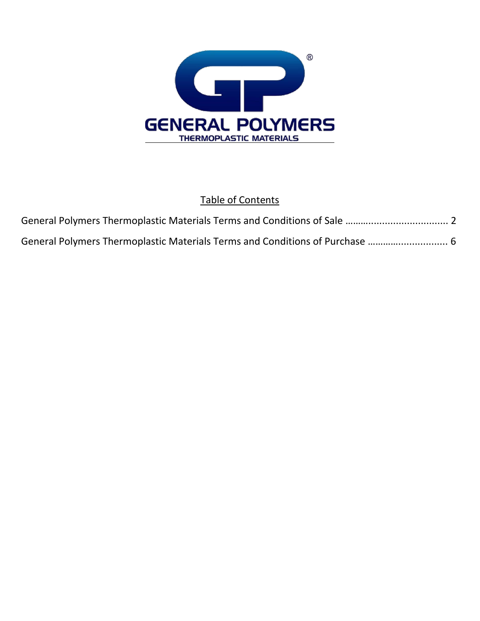

## Table of Contents

| General Polymers Thermoplastic Materials Terms and Conditions of Purchase  6 |  |
|------------------------------------------------------------------------------|--|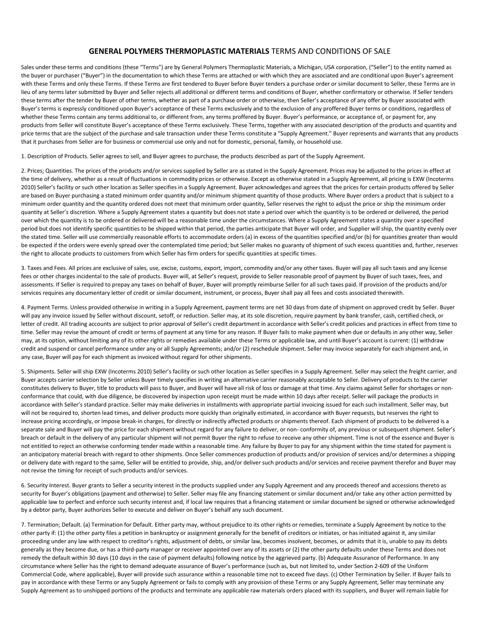## **GENERAL POLYMERS THERMOPLASTIC MATERIALS** TERMS AND CONDITIONS OF SALE

Sales under these terms and conditions (these "Terms") are by General Polymers Thermoplastic Materials, a Michigan, USA corporation, ("Seller") to the entity named as the buyer or purchaser ("Buyer") in the documentation to which these Terms are attached or with which they are associated and are conditional upon Buyer's agreement with these Terms and only these Terms. If these Terms are first tendered to Buyer before Buyer tenders a purchase order or similar document to Seller, these Terms are in lieu of any terms later submitted by Buyer and Seller rejects all additional or different terms and conditions of Buyer, whether confirmatory or otherwise. If Seller tenders these terms after the tender by Buyer of other terms, whether as part of a purchase order or otherwise, then Seller's acceptance of any offer by Buyer associated with Buyer's terms is expressly conditioned upon Buyer's acceptance of these Terms exclusively and to the exclusion of any proffered Buyer terms or conditions, regardless of whether these Terms contain any terms additional to, or different from, any terms proffered by Buyer. Buyer's performance, or acceptance of, or payment for, any products from Seller will constitute Buyer's acceptance of these Terms exclusively. These Terms, together with any associated description of the products and quantity and price terms that are the subject of the purchase and sale transaction under these Terms constitute a "Supply Agreement." Buyer represents and warrants that any products that it purchases from Seller are for business or commercial use only and not for domestic, personal, family, or household use.

1. Description of Products. Seller agrees to sell, and Buyer agrees to purchase, the products described as part of the Supply Agreement.

2. Prices; Quantities. The prices of the products and/or services supplied by Seller are as stated in the Supply Agreement. Prices may be adjusted to the prices in effect at the time of delivery, whether as a result of fluctuations in commodity prices or otherwise. Except as otherwise stated in a Supply Agreement, all pricing is EXW (Incoterms 2010) Seller's facility or such other location as Seller specifies in a Supply Agreement. Buyer acknowledges and agrees that the prices for certain products offered by Seller are based on Buyer purchasing a stated minimum order quantity and/or minimum shipment quantity of those products. Where Buyer orders a product that is subject to a minimum order quantity and the quantity ordered does not meet that minimum order quantity, Seller reserves the right to adjust the price or ship the minimum order quantity at Seller's discretion. Where a Supply Agreement states a quantity but does not state a period over which the quantity is to be ordered or delivered, the period over which the quantity is to be ordered or delivered will be a reasonable time under the circumstances. Where a Supply Agreement states a quantity over a specified period but does not identify specific quantities to be shipped within that period, the parties anticipate that Buyer will order, and Supplier will ship, the quantity evenly over the stated time. Seller will use commercially reasonable efforts to accommodate orders (a) in excess of the quantities specified and/or (b) for quantities greater than would be expected if the orders were evenly spread over the contemplated time period; but Seller makes no guaranty of shipment of such excess quantities and, further, reserves the right to allocate products to customers from which Seller has firm orders for specific quantities at specific times.

3. Taxes and Fees. All prices are exclusive of sales, use, excise, customs, export, import, commodity and/or any other taxes. Buyer will pay all such taxes and any license fees or other charges incidental to the sale of products. Buyer will, at Seller's request, provide to Seller reasonable proof of payment by Buyer of such taxes, fees, and assessments. If Seller is required to prepay any taxes on behalf of Buyer, Buyer will promptly reimburse Seller for all such taxes paid. If provision of the products and/or services requires any documentary letter of credit or similar document, instrument, or process, Buyer shall pay all fees and costs associated therewith.

4. Payment Terms. Unless provided otherwise in writing in a Supply Agreement, payment terms are net 30 days from date of shipment on approved credit by Seller. Buyer will pay any invoice issued by Seller without discount, setoff, or reduction. Seller may, at its sole discretion, require payment by bank transfer, cash, certified check, or letter of credit. All trading accounts are subject to prior approval of Seller's credit department in accordance with Seller's credit policies and practices in effect from time to time. Seller may revise the amount of credit or terms of payment at any time for any reason. If Buyer fails to make payment when due or defaults in any other way, Seller may, at its option, without limiting any of its other rights or remedies available under these Terms or applicable law, and until Buyer's account is current: (1) withdraw credit and suspend or cancel performance under any or all Supply Agreements; and/or (2) reschedule shipment. Seller may invoice separately for each shipment and, in any case, Buyer will pay for each shipment as invoiced without regard for other shipments.

5. Shipments. Seller will ship EXW (Incoterms 2010) Seller's facility or such other location as Seller specifies in a Supply Agreement. Seller may select the freight carrier, and Buyer accepts carrier selection by Seller unless Buyer timely specifies in writing an alternative carrier reasonably acceptable to Seller. Delivery of products to the carrier constitutes delivery to Buyer, title to products will pass to Buyer, and Buyer will have all risk of loss or damage at that time. Any claims against Seller for shortages or nonconformance that could, with due diligence, be discovered by inspection upon receipt must be made within 10 days after receipt. Seller will package the products in accordance with Seller's standard practice. Seller may make deliveries in installments with appropriate partial invoicing issued for each such installment. Seller may, but will not be required to, shorten lead times, and deliver products more quickly than originally estimated, in accordance with Buyer requests, but reserves the right to increase pricing accordingly, or impose break-in charges, for directly or indirectly affected products or shipments thereof. Each shipment of products to be delivered is a separate sale and Buyer will pay the price for each shipment without regard for any failure to deliver, or non- conformity of, any previous or subsequent shipment. Seller's breach or default in the delivery of any particular shipment will not permit Buyer the right to refuse to receive any other shipment. Time is not of the essence and Buyer is not entitled to reject an otherwise conforming tender made within a reasonable time. Any failure by Buyer to pay for any shipment within the time stated for payment is an anticipatory material breach with regard to other shipments. Once Seller commences production of products and/or provision of services and/or determines a shipping or delivery date with regard to the same, Seller will be entitled to provide, ship, and/or deliver such products and/or services and receive payment therefor and Buyer may not revise the timing for receipt of such products and/or services.

6. Security Interest. Buyer grants to Seller a security interest in the products supplied under any Supply Agreement and any proceeds thereof and accessions thereto as security for Buyer's obligations (payment and otherwise) to Seller. Seller may file any financing statement or similar document and/or take any other action permitted by applicable law to perfect and enforce such security interest and, if local law requires that a financing statement or similar document be signed or otherwise acknowledged by a debtor party, Buyer authorizes Seller to execute and deliver on Buyer's behalf any such document.

7. Termination; Default. (a) Termination for Default. Either party may, without prejudice to its other rights or remedies, terminate a Supply Agreement by notice to the other party if: (1) the other party files a petition in bankruptcy or assignment generally for the benefit of creditors or initiates, or has initiated against it, any similar proceeding under any law with respect to creditor's rights, adjustment of debts, or similar law, becomes insolvent, becomes, or admits that it is, unable to pay its debts generally as they become due, or has a third-party manager or receiver appointed over any of its assets or (2) the other party defaults under these Terms and does not remedy the default within 30 days (10 days in the case of payment defaults) following notice by the aggrieved party. (b) Adequate Assurance of Performance. In any circumstance where Seller has the right to demand adequate assurance of Buyer's performance (such as, but not limited to, under Section 2-609 of the Uniform Commercial Code, where applicable), Buyer will provide such assurance within a reasonable time not to exceed five days. (c) Other Termination by Seller. If Buyer fails to pay in accordance with these Terms or any Supply Agreement or fails to comply with any provision of these Terms or any Supply Agreement, Seller may terminate any Supply Agreement as to unshipped portions of the products and terminate any applicable raw materials orders placed with its suppliers, and Buyer will remain liable for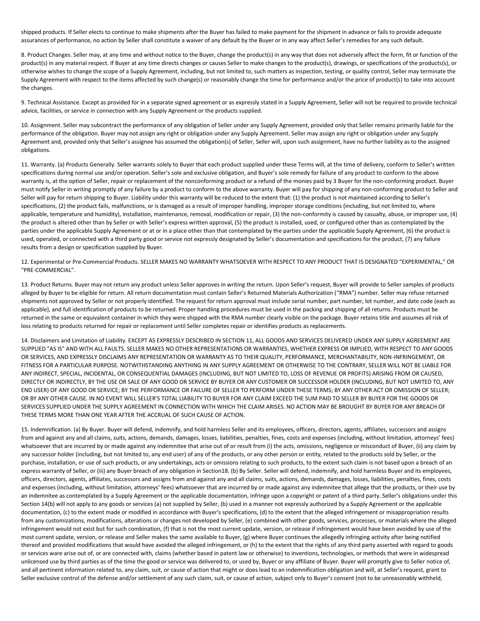shipped products. If Seller elects to continue to make shipments after the Buyer has failed to make payment for the shipment in advance or fails to provide adequate assurances of performance, no action by Seller shall constitute a waiver of any default by the Buyer or in any way affect Seller's remedies for any such default.

8. Product Changes. Seller may, at any time and without notice to the Buyer, change the product(s) in any way that does not adversely affect the form, fit or function of the product(s) in any material respect. If Buyer at any time directs changes or causes Seller to make changes to the product(s), drawings, or specifications of the products(s), or otherwise wishes to change the scope of a Supply Agreement, including, but not limited to, such matters as inspection, testing, or quality control, Seller may terminate the Supply Agreement with respect to the items affected by such change(s) or reasonably change the time for performance and/or the price of product(s) to take into account the changes.

9. Technical Assistance. Except as provided for in a separate signed agreement or as expressly stated in a Supply Agreement, Seller will not be required to provide technical advice, facilities, or service in connection with any Supply Agreement or the products supplied.

10. Assignment. Seller may subcontract the performance of any obligation of Seller under any Supply Agreement, provided only that Seller remains primarily liable for the performance of the obligation. Buyer may not assign any right or obligation under any Supply Agreement. Seller may assign any right or obligation under any Supply Agreement and, provided only that Seller's assignee has assumed the obligation(s) of Seller, Seller will, upon such assignment, have no further liability as to the assigned obligations.

11. Warranty. (a) Products Generally. Seller warrants solely to Buyer that each product supplied under these Terms will, at the time of delivery, conform to Seller's written specifications during normal use and/or operation. Seller's sole and exclusive obligation, and Buyer's sole remedy for failure of any product to conform to the above warranty is, at the option of Seller, repair or replacement of the nonconforming product or a refund of the monies paid by 3 Buyer for the non-conforming product. Buyer must notify Seller in writing promptly of any failure by a product to conform to the above warranty. Buyer will pay for shipping of any non-conforming product to Seller and Seller will pay for return shipping to Buyer. Liability under this warranty will be reduced to the extent that: (1) the product is not maintained according to Seller's specifications, (2) the product fails, malfunctions, or is damaged as a result of improper handling, improper storage conditions (including, but not limited to, where applicable, temperature and humidity), installation, maintenance, removal, modification or repair, (3) the non-conformity is caused by casualty, abuse, or improper use, (4) the product is altered other than by Seller or with Seller's express written approval, (5) the product is installed, used, or configured other than as contemplated by the parties under the applicable Supply Agreement or at or in a place other than that contemplated by the parties under the applicable Supply Agreement, (6) the product is used, operated, or connected with a third party good or service not expressly designated by Seller's documentation and specifications for the product, (7) any failure results from a design or specification supplied by Buyer.

12. Experimental or Pre-Commercial Products. SELLER MAKES NO WARRANTY WHATSOEVER WITH RESPECT TO ANY PRODUCT THAT IS DESIGNATED "EXPERIMENTAL," OR "PRE-COMMERCIAL".

13. Product Returns. Buyer may not return any product unless Seller approves in writing the return. Upon Seller's request, Buyer will provide to Seller samples of products alleged by Buyer to be eligible for return. All return documentation must contain Seller's Returned Materials Authorization ("RMA") number. Seller may refuse returned shipments not approved by Seller or not properly identified. The request for return approval must include serial number, part number, lot number, and date code (each as applicable), and full identification of products to be returned. Proper handling procedures must be used in the packing and shipping of all returns. Products must be returned in the same or equivalent container in which they were shipped with the RMA number clearly visible on the package. Buyer retains title and assumes all risk of loss relating to products returned for repair or replacement until Seller completes repair or identifies products as replacements.

14. Disclaimers and Limitation of Liability. EXCEPT AS EXPRESSLY DESCRIBED IN SECTION 11, ALL GOODS AND SERVICES DELIVERED UNDER ANY SUPPLY AGREEMENT ARE SUPPLIED "AS IS" AND WITH ALL FAULTS. SELLER MAKES NO OTHER REPRESENTATIONS OR WARRANTIES, WHETHER EXPRESS OR IMPLIED, WITH RESPECT TO ANY GOODS OR SERVICES, AND EXPRESSLY DISCLAIMS ANY REPRESENTATION OR WARRANTY AS TO THEIR QUALITY, PERFORMANCE, MERCHANTABILITY, NON-INFRINGEMENT, OR FITNESS FOR A PARTICULAR PURPOSE. NOTWITHSTANDING ANYTHING IN ANY SUPPLY AGREEMENT OR OTHERWISE TO THE CONTRARY, SELLER WILL NOT BE LIABLE FOR ANY INDIRECT, SPECIAL, INCIDENTAL, OR CONSEQUENTIAL DAMAGES (INCLUDING, BUT NOT LIMITED TO, LOSS OF REVENUE OR PROFITS) ARISING FROM OR CAUSED, DIRECTLY OR INDIRECTLY, BY THE USE OR SALE OF ANY GOOD OR SERVICE BY BUYER OR ANY CUSTOMER OR SUCCESSOR HOLDER (INCLUDING, BUT NOT LIMITED TO, ANY END USER) OF ANY GOOD OR SERVICE; BY THE PERFORMANCE OR FAILURE OF SELLER TO PERFORM UNDER THESE TERMS; BY ANY OTHER ACT OR OMISSION OF SELLER; OR BY ANY OTHER CAUSE. IN NO EVENT WILL SELLER'S TOTAL LIABILITY TO BUYER FOR ANY CLAIM EXCEED THE SUM PAID TO SELLER BY BUYER FOR THE GOODS OR SERVICES SUPPLIED UNDER THE SUPPLY AGREEMENT IN CONNECTION WITH WHICH THE CLAIM ARISES. NO ACTION MAY BE BROUGHT BY BUYER FOR ANY BREACH OF THESE TERMS MORE THAN ONE YEAR AFTER THE ACCRUAL OF SUCH CAUSE OF ACTION.

15. Indemnification. (a) By Buyer. Buyer will defend, indemnify, and hold harmless Seller and its employees, officers, directors, agents, affiliates, successors and assigns from and against any and all claims, suits, actions, demands, damages, losses, liabilities, penalties, fines, costs and expenses (including, without limitation, attorneys' fees) whatsoever that are incurred by or made against any indemnitee that arise out of or result from (i) the acts, omissions, negligence or misconduct of Buyer, (ii) any claim by any successor holder (including, but not limited to, any end user) of any of the products, or any other person or entity, related to the products sold by Seller, or the purchase, installation, or use of such products, or any undertakings, acts or omissions relating to such products, to the extent such claim is not based upon a breach of an express warranty of Seller, or (iii) any Buyer breach of any obligation in Section18. (b) By Seller. Seller will defend, indemnify, and hold harmless Buyer and its employees, officers, directors, agents, affiliates, successors and assigns from and against any and all claims, suits, actions, demands, damages, losses, liabilities, penalties, fines, costs and expenses (including, without limitation, attorneys' fees) whatsoever that are incurred by or made against any indemnitee that allege that the products, or their use by an indemnitee as contemplated by a Supply Agreement or the applicable documentation, infringe upon a copyright or patent of a third party. Seller's obligations under this Section 14(b) will not apply to any goods or services (a) not supplied by Seller, (b) used in a manner not expressly authorized by a Supply Agreement or the applicable documentation, (c) to the extent made or modified in accordance with Buyer's specifications, (d) to the extent that the alleged infringement or misappropriation results from any customizations, modifications, alterations or changes not developed by Seller, (e) combined with other goods, services, processes, or materials where the alleged infringement would not exist but for such combination, (f) that is not the most current update, version, or release if infringement would have been avoided by use of the most current update, version, or release and Seller makes the same available to Buyer, (g) where Buyer continues the allegedly infringing activity after being notified thereof and provided modifications that would have avoided the alleged infringement, or (h) to the extent that the rights of any third party asserted with regard to goods or services ware arise out of, or are connected with, claims (whether based in patent law or otherwise) to inventions, technologies, or methods that were in widespread unlicensed use by third parties as of the time the good or service was delivered to, or used by, Buyer or any affiliate of Buyer. Buyer will promptly give to Seller notice of, and all pertinent information related to, any claim, suit, or cause of action that might or does lead to an indemnification obligation and will, at Seller's request, grant to Seller exclusive control of the defense and/or settlement of any such claim, suit, or cause of action, subject only to Buyer's consent (not to be unreasonably withheld,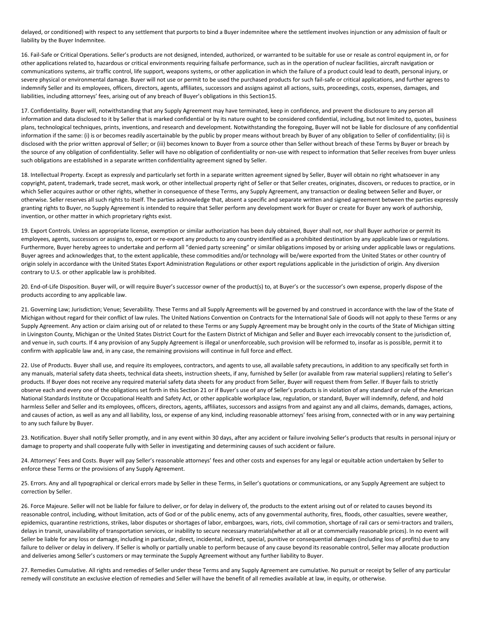delayed, or conditioned) with respect to any settlement that purports to bind a Buyer indemnitee where the settlement involves injunction or any admission of fault or liability by the Buyer Indemnitee.

16. Fail-Safe or Critical Operations. Seller's products are not designed, intended, authorized, or warranted to be suitable for use or resale as control equipment in, or for other applications related to, hazardous or critical environments requiring failsafe performance, such as in the operation of nuclear facilities, aircraft navigation or communications systems, air traffic control, life support, weapons systems, or other application in which the failure of a product could lead to death, personal injury, or severe physical or environmental damage. Buyer will not use or permit to be used the purchased products for such fail-safe or critical applications, and further agrees to indemnify Seller and its employees, officers, directors, agents, affiliates, successors and assigns against all actions, suits, proceedings, costs, expenses, damages, and liabilities, including attorneys' fees, arising out of any breach of Buyer's obligations in this Section15.

17. Confidentiality. Buyer will, notwithstanding that any Supply Agreement may have terminated, keep in confidence, and prevent the disclosure to any person all information and data disclosed to it by Seller that is marked confidential or by its nature ought to be considered confidential, including, but not limited to, quotes, business plans, technological techniques, prints, inventions, and research and development. Notwithstanding the foregoing, Buyer will not be liable for disclosure of any confidential information if the same: (i) is or becomes readily ascertainable by the public by proper means without breach by Buyer of any obligation to Seller of confidentiality; (ii) is disclosed with the prior written approval of Seller; or (iii) becomes known to Buyer from a source other than Seller without breach of these Terms by Buyer or breach by the source of any obligation of confidentiality. Seller will have no obligation of confidentiality or non-use with respect to information that Seller receives from buyer unless such obligations are established in a separate written confidentiality agreement signed by Seller.

18. Intellectual Property. Except as expressly and particularly set forth in a separate written agreement signed by Seller, Buyer will obtain no right whatsoever in any copyright, patent, trademark, trade secret, mask work, or other intellectual property right of Seller or that Seller creates, originates, discovers, or reduces to practice, or in which Seller acquires author or other rights, whether in consequence of these Terms, any Supply Agreement, any transaction or dealing between Seller and Buyer, or otherwise. Seller reserves all such rights to itself. The parties acknowledge that, absent a specific and separate written and signed agreement between the parties expressly granting rights to Buyer, no Supply Agreement is intended to require that Seller perform any development work for Buyer or create for Buyer any work of authorship, invention, or other matter in which proprietary rights exist.

19. Export Controls. Unless an appropriate license, exemption or similar authorization has been duly obtained, Buyer shall not, nor shall Buyer authorize or permit its employees, agents, successors or assigns to, export or re-export any products to any country identified as a prohibited destination by any applicable laws or regulations. Furthermore, Buyer hereby agrees to undertake and perform all "denied party screening" or similar obligations imposed by or arising under applicable laws or regulations. Buyer agrees and acknowledges that, to the extent applicable, these commodities and/or technology will be/were exported from the United States or other country of origin solely in accordance with the United States Export Administration Regulations or other export regulations applicable in the jurisdiction of origin. Any diversion contrary to U.S. or other applicable law is prohibited.

20. End-of-Life Disposition. Buyer will, or will require Buyer's successor owner of the product(s) to, at Buyer's or the successor's own expense, properly dispose of the products according to any applicable law.

21. Governing Law; Jurisdiction; Venue; Severability. These Terms and all Supply Agreements will be governed by and construed in accordance with the law of the State of Michigan without regard for their conflict of law rules. The United Nations Convention on Contracts for the International Sale of Goods will not apply to these Terms or any Supply Agreement. Any action or claim arising out of or related to these Terms or any Supply Agreement may be brought only in the courts of the State of Michigan sitting in Livingston County, Michigan or the United States District Court for the Eastern District of Michigan and Seller and Buyer each irrevocably consent to the jurisdiction of, and venue in, such courts. If 4 any provision of any Supply Agreement is illegal or unenforceable, such provision will be reformed to, insofar as is possible, permit it to confirm with applicable law and, in any case, the remaining provisions will continue in full force and effect.

22. Use of Products. Buyer shall use, and require its employees, contractors, and agents to use, all available safety precautions, in addition to any specifically set forth in any manuals, material safety data sheets, technical data sheets, instruction sheets, if any, furnished by Seller (or available from raw material suppliers) relating to Seller's products. If Buyer does not receive any required material safety data sheets for any product from Seller, Buyer will request them from Seller. If Buyer fails to strictly observe each and every one of the obligations set forth in this Section 21 or if Buyer's use of any of Seller's products is in violation of any standard or rule of the American National Standards Institute or Occupational Health and Safety Act, or other applicable workplace law, regulation, or standard, Buyer will indemnify, defend, and hold harmless Seller and Seller and its employees, officers, directors, agents, affiliates, successors and assigns from and against any and all claims, demands, damages, actions, and causes of action, as well as any and all liability, loss, or expense of any kind, including reasonable attorneys' fees arising from, connected with or in any way pertaining to any such failure by Buyer.

23. Notification. Buyer shall notify Seller promptly, and in any event within 30 days, after any accident or failure involving Seller's products that results in personal injury or damage to property and shall cooperate fully with Seller in investigating and determining causes of such accident or failure.

24. Attorneys' Fees and Costs. Buyer will pay Seller's reasonable attorneys' fees and other costs and expenses for any legal or equitable action undertaken by Seller to enforce these Terms or the provisions of any Supply Agreement.

25. Errors. Any and all typographical or clerical errors made by Seller in these Terms, in Seller's quotations or communications, or any Supply Agreement are subject to correction by Seller.

26. Force Majeure. Seller will not be liable for failure to deliver, or for delay in delivery of, the products to the extent arising out of or related to causes beyond its reasonable control, including, without limitation, acts of God or of the public enemy, acts of any governmental authority, fires, floods, other casualties, severe weather, epidemics, quarantine restrictions, strikes, labor disputes or shortages of labor, embargoes, wars, riots, civil commotion, shortage of rail cars or semi-tractors and trailers, delays in transit, unavailability of transportation services, or inability to secure necessary materials(whether at all or at commercially reasonable prices). In no event will Seller be liable for any loss or damage, including in particular, direct, incidental, indirect, special, punitive or consequential damages (including loss of profits) due to any failure to deliver or delay in delivery. If Seller is wholly or partially unable to perform because of any cause beyond its reasonable control, Seller may allocate production and deliveries among Seller's customers or may terminate the Supply Agreement without any further liability to Buyer.

27. Remedies Cumulative. All rights and remedies of Seller under these Terms and any Supply Agreement are cumulative. No pursuit or receipt by Seller of any particular remedy will constitute an exclusive election of remedies and Seller will have the benefit of all remedies available at law, in equity, or otherwise.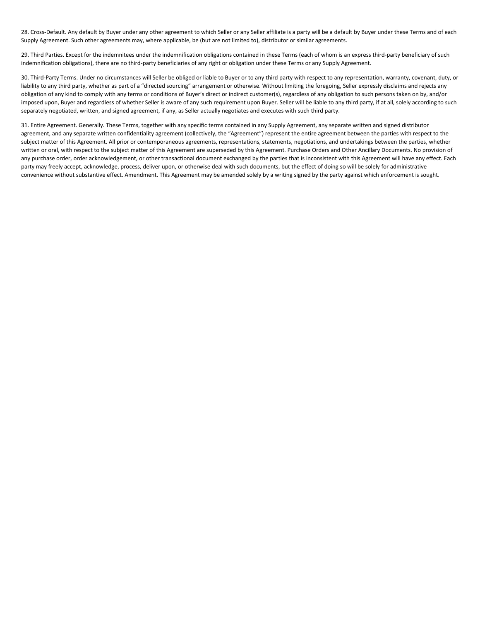28. Cross-Default. Any default by Buyer under any other agreement to which Seller or any Seller affiliate is a party will be a default by Buyer under these Terms and of each Supply Agreement. Such other agreements may, where applicable, be (but are not limited to), distributor or similar agreements.

29. Third Parties. Except for the indemnitees under the indemnification obligations contained in these Terms (each of whom is an express third-party beneficiary of such indemnification obligations), there are no third-party beneficiaries of any right or obligation under these Terms or any Supply Agreement.

30. Third-Party Terms. Under no circumstances will Seller be obliged or liable to Buyer or to any third party with respect to any representation, warranty, covenant, duty, or liability to any third party, whether as part of a "directed sourcing" arrangement or otherwise. Without limiting the foregoing, Seller expressly disclaims and rejects any obligation of any kind to comply with any terms or conditions of Buyer's direct or indirect customer(s), regardless of any obligation to such persons taken on by, and/or imposed upon, Buyer and regardless of whether Seller is aware of any such requirement upon Buyer. Seller will be liable to any third party, if at all, solely according to such separately negotiated, written, and signed agreement, if any, as Seller actually negotiates and executes with such third party.

31. Entire Agreement. Generally. These Terms, together with any specific terms contained in any Supply Agreement, any separate written and signed distributor agreement, and any separate written confidentiality agreement (collectively, the "Agreement") represent the entire agreement between the parties with respect to the subject matter of this Agreement. All prior or contemporaneous agreements, representations, statements, negotiations, and undertakings between the parties, whether written or oral, with respect to the subject matter of this Agreement are superseded by this Agreement. Purchase Orders and Other Ancillary Documents. No provision of any purchase order, order acknowledgement, or other transactional document exchanged by the parties that is inconsistent with this Agreement will have any effect. Each party may freely accept, acknowledge, process, deliver upon, or otherwise deal with such documents, but the effect of doing so will be solely for administrative convenience without substantive effect. Amendment. This Agreement may be amended solely by a writing signed by the party against which enforcement is sought.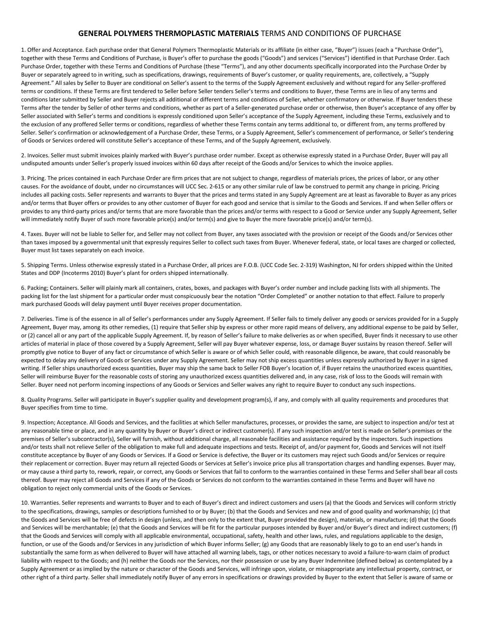## **GENERAL POLYMERS THERMOPLASTIC MATERIALS** TERMS AND CONDITIONS OF PURCHASE

1. Offer and Acceptance. Each purchase order that General Polymers Thermoplastic Materials or its affiliate (in either case, "Buyer") issues (each a "Purchase Order"), together with these Terms and Conditions of Purchase, is Buyer's offer to purchase the goods ("Goods") and services ("Services") identified in that Purchase Order. Each Purchase Order, together with these Terms and Conditions of Purchase (these "Terms"), and any other documents specifically incorporated into the Purchase Order by Buyer or separately agreed to in writing, such as specifications, drawings, requirements of Buyer's customer, or quality requirements, are, collectively, a "Supply Agreement." All sales by Seller to Buyer are conditional on Seller's assent to the terms of the Supply Agreement exclusively and without regard for any Seller-proffered terms or conditions. If these Terms are first tendered to Seller before Seller tenders Seller's terms and conditions to Buyer, these Terms are in lieu of any terms and conditions later submitted by Seller and Buyer rejects all additional or different terms and conditions of Seller, whether confirmatory or otherwise. If Buyer tenders these Terms after the tender by Seller of other terms and conditions, whether as part of a Seller-generated purchase order or otherwise, then Buyer's acceptance of any offer by Seller associated with Seller's terms and conditions is expressly conditioned upon Seller's acceptance of the Supply Agreement, including these Terms, exclusively and to the exclusion of any proffered Seller terms or conditions, regardless of whether these Terms contain any terms additional to, or different from, any terms proffered by Seller. Seller's confirmation or acknowledgement of a Purchase Order, these Terms, or a Supply Agreement, Seller's commencement of performance, or Seller's tendering of Goods or Services ordered will constitute Seller's acceptance of these Terms, and of the Supply Agreement, exclusively.

2. Invoices. Seller must submit invoices plainly marked with Buyer's purchase order number. Except as otherwise expressly stated in a Purchase Order, Buyer will pay all undisputed amounts under Seller's properly issued invoices within 60 days after receipt of the Goods and/or Services to which the invoice applies.

3. Pricing. The prices contained in each Purchase Order are firm prices that are not subject to change, regardless of materials prices, the prices of labor, or any other causes. For the avoidance of doubt, under no circumstances will UCC Sec. 2-615 or any other similar rule of law be construed to permit any change in pricing. Pricing includes all packing costs. Seller represents and warrants to Buyer that the prices and terms stated in any Supply Agreement are at least as favorable to Buyer as any prices and/or terms that Buyer offers or provides to any other customer of Buyer for each good and service that is similar to the Goods and Services. If and when Seller offers or provides to any third-party prices and/or terms that are more favorable than the prices and/or terms with respect to a Good or Service under any Supply Agreement, Seller will immediately notify Buyer of such more favorable price(s) and/or term(s) and give to Buyer the more favorable price(s) and/or term(s).

4. Taxes. Buyer will not be liable to Seller for, and Seller may not collect from Buyer, any taxes associated with the provision or receipt of the Goods and/or Services other than taxes imposed by a governmental unit that expressly requires Seller to collect such taxes from Buyer. Whenever federal, state, or local taxes are charged or collected, Buyer must list taxes separately on each invoice.

5. Shipping Terms. Unless otherwise expressly stated in a Purchase Order, all prices are F.O.B. (UCC Code Sec. 2-319) Washington, NJ for orders shipped within the United States and DDP (Incoterms 2010) Buyer's plant for orders shipped internationally.

6. Packing; Containers. Seller will plainly mark all containers, crates, boxes, and packages with Buyer's order number and include packing lists with all shipments. The packing list for the last shipment for a particular order must conspicuously bear the notation "Order Completed" or another notation to that effect. Failure to properly mark purchased Goods will delay payment until Buyer receives proper documentation.

7. Deliveries. Time is of the essence in all of Seller's performances under any Supply Agreement. If Seller fails to timely deliver any goods or services provided for in a Supply Agreement, Buyer may, among its other remedies, (1) require that Seller ship by express or other more rapid means of delivery, any additional expense to be paid by Seller, or (2) cancel all or any part of the applicable Supply Agreement. If, by reason of Seller's failure to make deliveries as or when specified, Buyer finds it necessary to use other articles of material in place of those covered by a Supply Agreement, Seller will pay Buyer whatever expense, loss, or damage Buyer sustains by reason thereof. Seller will promptly give notice to Buyer of any fact or circumstance of which Seller is aware or of which Seller could, with reasonable diligence, be aware, that could reasonably be expected to delay any delivery of Goods or Services under any Supply Agreement. Seller may not ship excess quantities unless expressly authorized by Buyer in a signed writing. If Seller ships unauthorized excess quantities, Buyer may ship the same back to Seller FOB Buyer's location of, if Buyer retains the unauthorized excess quantities, Seller will reimburse Buyer for the reasonable costs of storing any unauthorized excess quantities delivered and, in any case, risk of loss to the Goods will remain with Seller. Buyer need not perform incoming inspections of any Goods or Services and Seller waives any right to require Buyer to conduct any such inspections.

8. Quality Programs. Seller will participate in Buyer's supplier quality and development program(s), if any, and comply with all quality requirements and procedures that Buyer specifies from time to time.

9. Inspection; Acceptance. All Goods and Services, and the facilities at which Seller manufactures, processes, or provides the same, are subject to inspection and/or test at any reasonable time or place, and in any quantity by Buyer or Buyer's direct or indirect customer(s). If any such inspection and/or test is made on Seller's premises or the premises of Seller's subcontractor(s), Seller will furnish, without additional charge, all reasonable facilities and assistance required by the inspectors. Such inspections and/or tests shall not relieve Seller of the obligation to make full and adequate inspections and tests. Receipt of, and/or payment for, Goods and Services will not itself constitute acceptance by Buyer of any Goods or Services. If a Good or Service is defective, the Buyer or its customers may reject such Goods and/or Services or require their replacement or correction. Buyer may return all rejected Goods or Services at Seller's invoice price plus all transportation charges and handling expenses. Buyer may, or may cause a third party to, rework, repair, or correct, any Goods or Services that fail to conform to the warranties contained in these Terms and Seller shall bear all costs thereof. Buyer may reject all Goods and Services if any of the Goods or Services do not conform to the warranties contained in these Terms and Buyer will have no obligation to reject only commercial units of the Goods or Services.

10. Warranties. Seller represents and warrants to Buyer and to each of Buyer's direct and indirect customers and users (a) that the Goods and Services will conform strictly to the specifications, drawings, samples or descriptions furnished to or by Buyer; (b) that the Goods and Services and new and of good quality and workmanship; (c) that the Goods and Services will be free of defects in design (unless, and then only to the extent that, Buyer provided the design), materials, or manufacture; (d) that the Goods and Services will be merchantable; (e) that the Goods and Services will be fit for the particular purposes intended by Buyer and/or Buyer's direct and indirect customers; (f) that the Goods and Services will comply with all applicable environmental, occupational, safety, health and other laws, rules, and regulations applicable to the design, function, or use of the Goods and/or Services in any jurisdiction of which Buyer informs Seller; (g) any Goods that are reasonably likely to go to an end user's hands in substantially the same form as when delivered to Buyer will have attached all warning labels, tags, or other notices necessary to avoid a failure-to-warn claim of product liability with respect to the Goods; and (h) neither the Goods nor the Services, nor their possession or use by any Buyer Indemnitee (defined below) as contemplated by a Supply Agreement or as implied by the nature or character of the Goods and Services, will infringe upon, violate, or misappropriate any intellectual property, contract, or other right of a third party. Seller shall immediately notify Buyer of any errors in specifications or drawings provided by Buyer to the extent that Seller is aware of same or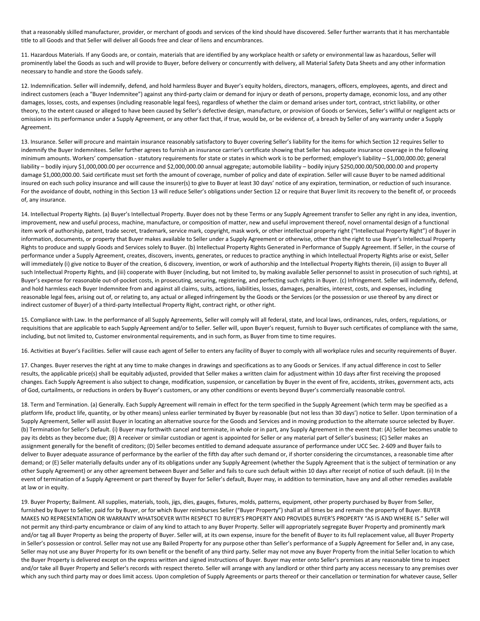that a reasonably skilled manufacturer, provider, or merchant of goods and services of the kind should have discovered. Seller further warrants that it has merchantable title to all Goods and that Seller will deliver all Goods free and clear of liens and encumbrances.

11. Hazardous Materials. If any Goods are, or contain, materials that are identified by any workplace health or safety or environmental law as hazardous, Seller will prominently label the Goods as such and will provide to Buyer, before delivery or concurrently with delivery, all Material Safety Data Sheets and any other information necessary to handle and store the Goods safely.

12. Indemnification. Seller will indemnify, defend, and hold harmless Buyer and Buyer's equity holders, directors, managers, officers, employees, agents, and direct and indirect customers (each a "Buyer Indemnitee") against any third-party claim or demand for injury or death of persons, property damage, economic loss, and any other damages, losses, costs, and expenses (including reasonable legal fees), regardless of whether the claim or demand arises under tort, contract, strict liability, or other theory, to the extent caused or alleged to have been caused by Seller's defective design, manufacture, or provision of Goods or Services, Seller's willful or negligent acts or omissions in its performance under a Supply Agreement, or any other fact that, if true, would be, or be evidence of, a breach by Seller of any warranty under a Supply Agreement.

13. Insurance. Seller will procure and maintain insurance reasonably satisfactory to Buyer covering Seller's liability for the items for which Section 12 requires Seller to indemnify the Buyer Indemnitees. Seller further agrees to furnish an insurance carrier's certificate showing that Seller has adequate insurance coverage in the following minimum amounts. Workers' compensation - statutory requirements for state or states in which work is to be performed; employer's liability – \$1,000,000.00; general liability – bodily injury \$1,000,000.00 per occurrence and \$2,000,000.00 annual aggregate; automobile liability – bodily injury \$250,000.00/500,000.00 and property damage \$1,000,000.00. Said certificate must set forth the amount of coverage, number of policy and date of expiration. Seller will cause Buyer to be named additional insured on each such policy insurance and will cause the insurer(s) to give to Buyer at least 30 days' notice of any expiration, termination, or reduction of such insurance. For the avoidance of doubt, nothing in this Section 13 will reduce Seller's obligations under Section 12 or require that Buyer limit its recovery to the benefit of, or proceeds of, any insurance.

14. Intellectual Property Rights. (a) Buyer's Intellectual Property. Buyer does not by these Terms or any Supply Agreement transfer to Seller any right in any idea, invention, improvement, new and useful process, machine, manufacture, or composition of matter, new and useful improvement thereof, novel ornamental design of a functional item work of authorship, patent, trade secret, trademark, service mark, copyright, mask work, or other intellectual property right ("Intellectual Property Right") of Buyer in information, documents, or property that Buyer makes available to Seller under a Supply Agreement or otherwise, other than the right to use Buyer's Intellectual Property Rights to produce and supply Goods and Services solely to Buyer. (b) Intellectual Property Rights Generated in Performance of Supply Agreement. If Seller, in the course of performance under a Supply Agreement, creates, discovers, invents, generates, or reduces to practice anything in which Intellectual Property Rights arise or exist, Seller will immediately (i) give notice to Buyer of the creation, 6 discovery, invention, or work of authorship and the Intellectual Property Rights therein, (ii) assign to Buyer all such Intellectual Property Rights, and (iii) cooperate with Buyer (including, but not limited to, by making available Seller personnel to assist in prosecution of such rights), at Buyer's expense for reasonable out-of-pocket costs, in prosecuting, securing, registering, and perfecting such rights in Buyer. (c) Infringement. Seller will indemnify, defend, and hold harmless each Buyer Indemnitee from and against all claims, suits, actions, liabilities, losses, damages, penalties, interest, costs, and expenses, including reasonable legal fees, arising out of, or relating to, any actual or alleged infringement by the Goods or the Services (or the possession or use thereof by any direct or indirect customer of Buyer) of a third-party Intellectual Property Right, contract right, or other right.

15. Compliance with Law. In the performance of all Supply Agreements, Seller will comply will all federal, state, and local laws, ordinances, rules, orders, regulations, or requisitions that are applicable to each Supply Agreement and/or to Seller. Seller will, upon Buyer's request, furnish to Buyer such certificates of compliance with the same, including, but not limited to, Customer environmental requirements, and in such form, as Buyer from time to time requires.

16. Activities at Buyer's Facilities. Seller will cause each agent of Seller to enters any facility of Buyer to comply with all workplace rules and security requirements of Buyer.

17. Changes. Buyer reserves the right at any time to make changes in drawings and specifications as to any Goods or Services. If any actual difference in cost to Seller results, the applicable price(s) shall be equitably adjusted, provided that Seller makes a written claim for adjustment within 10 days after first receiving the proposed changes. Each Supply Agreement is also subject to change, modification, suspension, or cancellation by Buyer in the event of fire, accidents, strikes, government acts, acts of God, curtailments, or reductions in orders by Buyer's customers, or any other conditions or events beyond Buyer's commercially reasonable control.

18. Term and Termination. (a) Generally. Each Supply Agreement will remain in effect for the term specified in the Supply Agreement (which term may be specified as a platform life, product life, quantity, or by other means) unless earlier terminated by Buyer by reasonable (but not less than 30 days') notice to Seller. Upon termination of a Supply Agreement, Seller will assist Buyer in locating an alternative source for the Goods and Services and in moving production to the alternate source selected by Buyer. (b) Termination for Seller's Default. (i) Buyer may forthwith cancel and terminate, in whole or in part, any Supply Agreement in the event that: (A) Seller becomes unable to pay its debts as they become due; (B) A receiver or similar custodian or agent is appointed for Seller or any material part of Seller's business; (C) Seller makes an assignment generally for the benefit of creditors; (D) Seller becomes entitled to demand adequate assurance of performance under UCC Sec. 2-609 and Buyer fails to deliver to Buyer adequate assurance of performance by the earlier of the fifth day after such demand or, if shorter considering the circumstances, a reasonable time after demand; or (E) Seller materially defaults under any of its obligations under any Supply Agreement (whether the Supply Agreement that is the subject of termination or any other Supply Agreement) or any other agreement between Buyer and Seller and fails to cure such default within 10 days after receipt of notice of such default. (ii) In the event of termination of a Supply Agreement or part thereof by Buyer for Seller's default, Buyer may, in addition to termination, have any and all other remedies available at law or in equity.

19. Buyer Property; Bailment. All supplies, materials, tools, jigs, dies, gauges, fixtures, molds, patterns, equipment, other property purchased by Buyer from Seller, furnished by Buyer to Seller, paid for by Buyer, or for which Buyer reimburses Seller ("Buyer Property") shall at all times be and remain the property of Buyer. BUYER MAKES NO REPRESENTATION OR WARRANTY WHATSOEVER WITH RESPECT TO BUYER'S PROPERTY AND PROVIDES BUYER'S PROPERTY "AS IS AND WHERE IS." Seller will not permit any third-party encumbrance or claim of any kind to attach to any Buyer Property. Seller will appropriately segregate Buyer Property and prominently mark and/or tag all Buyer Property as being the property of Buyer. Seller will, at its own expense, insure for the benefit of Buyer to its full replacement value, all Buyer Property in Seller's possession or control. Seller may not use any Bailed Property for any purpose other than Seller's performance of a Supply Agreement for Seller and, in any case, Seller may not use any Buyer Property for its own benefit or the benefit of any third party. Seller may not move any Buyer Property from the initial Seller location to which the Buyer Property is delivered except on the express written and signed instructions of Buyer. Buyer may enter onto Seller's premises at any reasonable time to inspect and/or take all Buyer Property and Seller's records with respect thereto. Seller will arrange with any landlord or other third party any access necessary to any premises over which any such third party may or does limit access. Upon completion of Supply Agreements or parts thereof or their cancellation or termination for whatever cause, Seller